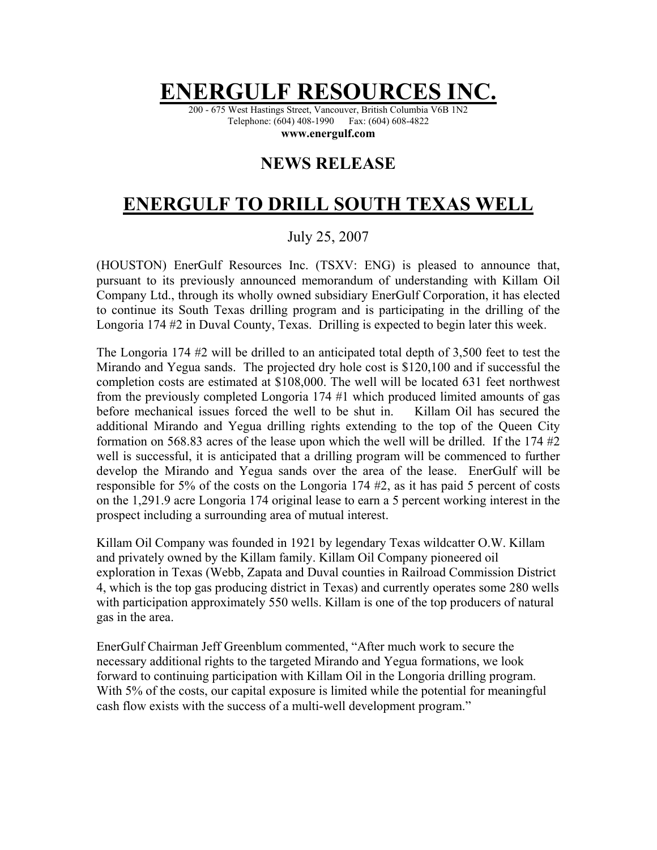## **ENERGULF RESOL**

200 - 675 West Hastings Street, Vancouver, British Columbia V6B 1N2 Telephone: (604) 408-1990 Fax: (604) 608-4822

**www.energulf.com** 

## **NEWS RELEASE**

## **ENERGULF TO DRILL SOUTH TEXAS WELL**

## July 25, 2007

(HOUSTON) EnerGulf Resources Inc. (TSXV: ENG) is pleased to announce that, pursuant to its previously announced memorandum of understanding with Killam Oil Company Ltd., through its wholly owned subsidiary EnerGulf Corporation, it has elected to continue its South Texas drilling program and is participating in the drilling of the Longoria 174 #2 in Duval County, Texas. Drilling is expected to begin later this week.

The Longoria 174 #2 will be drilled to an anticipated total depth of 3,500 feet to test the Mirando and Yegua sands. The projected dry hole cost is \$120,100 and if successful the completion costs are estimated at \$108,000. The well will be located 631 feet northwest from the previously completed Longoria 174 #1 which produced limited amounts of gas before mechanical issues forced the well to be shut in. Killam Oil has secured the additional Mirando and Yegua drilling rights extending to the top of the Queen City formation on 568.83 acres of the lease upon which the well will be drilled. If the 174 #2 well is successful, it is anticipated that a drilling program will be commenced to further develop the Mirando and Yegua sands over the area of the lease. EnerGulf will be responsible for 5% of the costs on the Longoria 174 #2, as it has paid 5 percent of costs on the 1,291.9 acre Longoria 174 original lease to earn a 5 percent working interest in the prospect including a surrounding area of mutual interest.

Killam Oil Company was founded in 1921 by legendary Texas wildcatter O.W. Killam and privately owned by the Killam family. Killam Oil Company pioneered oil exploration in Texas (Webb, Zapata and Duval counties in Railroad Commission District 4, which is the top gas producing district in Texas) and currently operates some 280 wells with participation approximately 550 wells. Killam is one of the top producers of natural gas in the area.

EnerGulf Chairman Jeff Greenblum commented, "After much work to secure the necessary additional rights to the targeted Mirando and Yegua formations, we look forward to continuing participation with Killam Oil in the Longoria drilling program. With 5% of the costs, our capital exposure is limited while the potential for meaningful cash flow exists with the success of a multi-well development program."